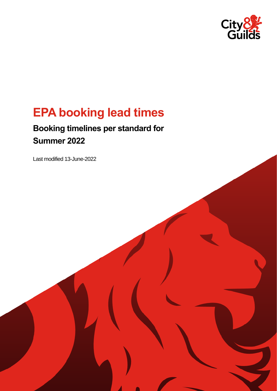

# **EPA booking lead times**

# **Booking timelines per standard for Summer 2022**

Last modified 13-June-2022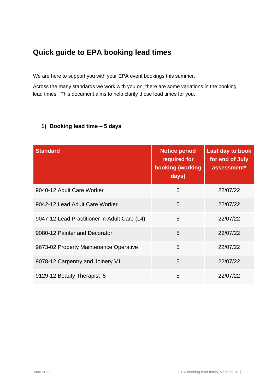## **Quick guide to EPA booking lead times**

We are here to support you with your EPA event bookings this summer.

Across the many standards we work with you on, there are some variations in the booking lead times. This document aims to help clarify those lead times for you.

| <b>Standard</b>                              | <b>Notice period</b><br>required for<br>booking (working<br>days) | <b>Last day to book</b><br>for end of July<br>assessment* |
|----------------------------------------------|-------------------------------------------------------------------|-----------------------------------------------------------|
| 9040-12 Adult Care Worker                    | 5                                                                 | 22/07/22                                                  |
| 9042-12 Lead Adult Care Worker               | 5                                                                 | 22/07/22                                                  |
| 9047-12 Lead Practitioner in Adult Care (L4) | 5                                                                 | 22/07/22                                                  |
| 9080-12 Painter and Decorator                | 5                                                                 | 22/07/22                                                  |
| 9673-02 Property Maintenance Operative       | 5                                                                 | 22/07/22                                                  |
| 9078-12 Carpentry and Joinery V1             | 5                                                                 | 22/07/22                                                  |
| 9129-12 Beauty Therapist 5                   | 5                                                                 | 22/07/22                                                  |

#### **1) Booking lead time – 5 days**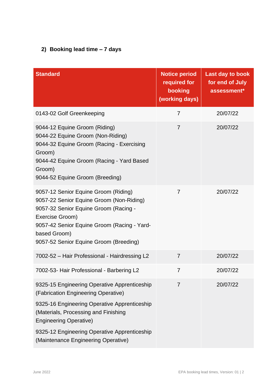#### **2) Booking lead time – 7 days**

| <b>Standard</b>                                                                                                                                                                                                                                       | <b>Notice period</b><br>required for<br>booking<br>(working days) | <b>Last day to book</b><br>for end of July<br>assessment* |
|-------------------------------------------------------------------------------------------------------------------------------------------------------------------------------------------------------------------------------------------------------|-------------------------------------------------------------------|-----------------------------------------------------------|
| 0143-02 Golf Greenkeeping                                                                                                                                                                                                                             | $\overline{7}$                                                    | 20/07/22                                                  |
| 9044-12 Equine Groom (Riding)<br>9044-22 Equine Groom (Non-Riding)<br>9044-32 Equine Groom (Racing - Exercising<br>Groom)<br>9044-42 Equine Groom (Racing - Yard Based<br>Groom)<br>9044-52 Equine Groom (Breeding)                                   | $\overline{7}$                                                    | 20/07/22                                                  |
| 9057-12 Senior Equine Groom (Riding)<br>9057-22 Senior Equine Groom (Non-Riding)<br>9057-32 Senior Equine Groom (Racing -<br>Exercise Groom)<br>9057-42 Senior Equine Groom (Racing - Yard-<br>based Groom)<br>9057-52 Senior Equine Groom (Breeding) | $\overline{7}$                                                    | 20/07/22                                                  |
| 7002-52 - Hair Professional - Hairdressing L2                                                                                                                                                                                                         | $\overline{7}$                                                    | 20/07/22                                                  |
| 7002-53- Hair Professional - Barbering L2                                                                                                                                                                                                             | $\overline{7}$                                                    | 20/07/22                                                  |
| 9325-15 Engineering Operative Apprenticeship<br>(Fabrication Engineering Operative)                                                                                                                                                                   | 7                                                                 | 20/07/22                                                  |
| 9325-16 Engineering Operative Apprenticeship<br>(Materials, Processing and Finishing<br><b>Engineering Operative)</b>                                                                                                                                 |                                                                   |                                                           |
| 9325-12 Engineering Operative Apprenticeship<br>(Maintenance Engineering Operative)                                                                                                                                                                   |                                                                   |                                                           |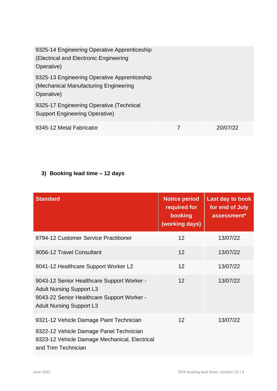| 9325-14 Engineering Operative Apprenticeship<br>(Electrical and Electronic Engineering<br>Operative) |          |
|------------------------------------------------------------------------------------------------------|----------|
| 9325-13 Engineering Operative Apprenticeship<br>(Mechanical Manufacturing Engineering<br>Operative)  |          |
| 9325-17 Engineering Operative (Technical<br><b>Support Engineering Operative)</b>                    |          |
| 9345-12 Metal Fabricator                                                                             | 20/07/22 |

### **3) Booking lead time – 12 days**

| <b>Standard</b>                                                                                                                                                | <b>Notice period</b><br>required for<br>booking<br>(working days) | <b>Last day to book</b><br>for end of July<br>assessment* |
|----------------------------------------------------------------------------------------------------------------------------------------------------------------|-------------------------------------------------------------------|-----------------------------------------------------------|
| 9794-12 Customer Service Practitioner                                                                                                                          | 12 <sup>2</sup>                                                   | 13/07/22                                                  |
| 9056-12 Travel Consultant                                                                                                                                      | 12                                                                | 13/07/22                                                  |
| 9041-12 Healthcare Support Worker L2                                                                                                                           | 12                                                                | 13/07/22                                                  |
| 9043-12 Senior Healthcare Support Worker -<br><b>Adult Nursing Support L3</b><br>9043-22 Senior Healthcare Support Worker -<br><b>Adult Nursing Support L3</b> | 12                                                                | 13/07/22                                                  |
| 9321-12 Vehicle Damage Paint Technician<br>9322-12 Vehicle Damage Panel Technician<br>9323-12 Vehicle Damage Mechanical, Electrical<br>and Trim Technician     | 12                                                                | 13/07/22                                                  |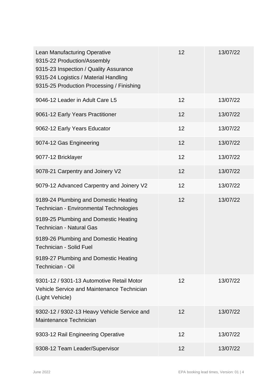| <b>Lean Manufacturing Operative</b><br>9315-22 Production/Assembly<br>9315-23 Inspection / Quality Assurance<br>9315-24 Logistics / Material Handling<br>9315-25 Production Processing / Finishing | 12 | 13/07/22 |
|----------------------------------------------------------------------------------------------------------------------------------------------------------------------------------------------------|----|----------|
| 9046-12 Leader in Adult Care L5                                                                                                                                                                    | 12 | 13/07/22 |
| 9061-12 Early Years Practitioner                                                                                                                                                                   | 12 | 13/07/22 |
| 9062-12 Early Years Educator                                                                                                                                                                       | 12 | 13/07/22 |
| 9074-12 Gas Engineering                                                                                                                                                                            | 12 | 13/07/22 |
| 9077-12 Bricklayer                                                                                                                                                                                 | 12 | 13/07/22 |
| 9078-21 Carpentry and Joinery V2                                                                                                                                                                   | 12 | 13/07/22 |
| 9079-12 Advanced Carpentry and Joinery V2                                                                                                                                                          | 12 | 13/07/22 |
| 9189-24 Plumbing and Domestic Heating<br>Technician - Environmental Technologies                                                                                                                   | 12 | 13/07/22 |
| 9189-25 Plumbing and Domestic Heating<br><b>Technician - Natural Gas</b>                                                                                                                           |    |          |
| 9189-26 Plumbing and Domestic Heating<br><b>Technician - Solid Fuel</b>                                                                                                                            |    |          |
| 9189-27 Plumbing and Domestic Heating<br>Technician - Oil                                                                                                                                          |    |          |
| 9301-12 / 9301-13 Automotive Retail Motor<br>Vehicle Service and Maintenance Technician<br>(Light Vehicle)                                                                                         | 12 | 13/07/22 |
| 9302-12 / 9302-13 Heavy Vehicle Service and<br>Maintenance Technician                                                                                                                              | 12 | 13/07/22 |
| 9303-12 Rail Engineering Operative                                                                                                                                                                 | 12 | 13/07/22 |
| 9308-12 Team Leader/Supervisor                                                                                                                                                                     | 12 | 13/07/22 |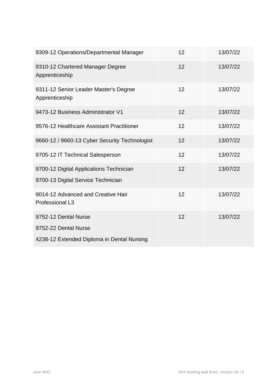| 9309-12 Operations/Departmental Manager                                                    | 12 | 13/07/22 |
|--------------------------------------------------------------------------------------------|----|----------|
| 9310-12 Chartered Manager Degree<br>Apprenticeship                                         | 12 | 13/07/22 |
| 9311-12 Senior Leader Master's Degree<br>Apprenticeship                                    | 12 | 13/07/22 |
| 9473-12 Business Administrator V1                                                          | 12 | 13/07/22 |
| 9576-12 Healthcare Assistant Practitioner                                                  | 12 | 13/07/22 |
| 9660-12 / 9660-13 Cyber Security Technologist                                              | 12 | 13/07/22 |
| 9705-12 IT Technical Salesperson                                                           | 12 | 13/07/22 |
| 9700-12 Digital Applications Technician<br>9700-13 Digital Service Technician              | 12 | 13/07/22 |
| 9014-12 Advanced and Creative Hair<br>Professional L3                                      | 12 | 13/07/22 |
| 9752-12 Dental Nurse<br>9752-22 Dental Nurse<br>4238-12 Extended Diploma in Dental Nursing | 12 | 13/07/22 |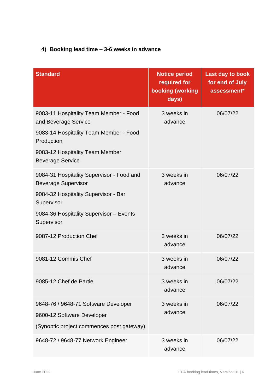#### **4) Booking lead time – 3-6 weeks in advance**

| <b>Standard</b>                                                                                                                                                                        | <b>Notice period</b><br>required for<br>booking (working<br>days) | <b>Last day to book</b><br>for end of July<br>assessment* |
|----------------------------------------------------------------------------------------------------------------------------------------------------------------------------------------|-------------------------------------------------------------------|-----------------------------------------------------------|
| 9083-11 Hospitality Team Member - Food<br>and Beverage Service<br>9083-14 Hospitality Team Member - Food<br>Production<br>9083-12 Hospitality Team Member<br><b>Beverage Service</b>   | 3 weeks in<br>advance                                             | 06/07/22                                                  |
| 9084-31 Hospitality Supervisor - Food and<br><b>Beverage Supervisor</b><br>9084-32 Hospitality Supervisor - Bar<br>Supervisor<br>9084-36 Hospitality Supervisor - Events<br>Supervisor | 3 weeks in<br>advance                                             | 06/07/22                                                  |
| 9087-12 Production Chef                                                                                                                                                                | 3 weeks in<br>advance                                             | 06/07/22                                                  |
| 9081-12 Commis Chef                                                                                                                                                                    | 3 weeks in<br>advance                                             | 06/07/22                                                  |
| 9085-12 Chef de Partie                                                                                                                                                                 | 3 weeks in<br>advance                                             | 06/07/22                                                  |
| 9648-76 / 9648-71 Software Developer<br>9600-12 Software Developer<br>(Synoptic project commences post gateway)                                                                        | 3 weeks in<br>advance                                             | 06/07/22                                                  |
| 9648-72 / 9648-77 Network Engineer                                                                                                                                                     | 3 weeks in<br>advance                                             | 06/07/22                                                  |